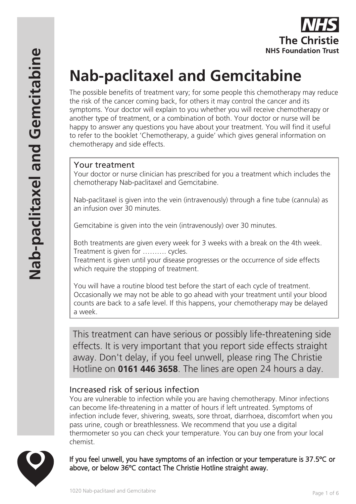# **Nab-paclitaxel and Gemcitabine**

The possible benefits of treatment vary; for some people this chemotherapy may reduce the risk of the cancer coming back, for others it may control the cancer and its symptoms. Your doctor will explain to you whether you will receive chemotherapy or another type of treatment, or a combination of both. Your doctor or nurse will be happy to answer any questions you have about your treatment. You will find it useful to refer to the booklet 'Chemotherapy, a guide' which gives general information on chemotherapy and side effects.

# Your treatment

Your doctor or nurse clinician has prescribed for you a treatment which includes the chemotherapy Nab-paclitaxel and Gemcitabine.

Nab-paclitaxel is given into the vein (intravenously) through a fine tube (cannula) as an infusion over 30 minutes.

Gemcitabine is given into the vein (intravenously) over 30 minutes.

Both treatments are given every week for 3 weeks with a break on the 4th week. Treatment is given for ………. cycles.

Treatment is given until your disease progresses or the occurrence of side effects which require the stopping of treatment.

You will have a routine blood test before the start of each cycle of treatment. Occasionally we may not be able to go ahead with your treatment until your blood counts are back to a safe level. If this happens, your chemotherapy may be delayed a week.

This treatment can have serious or possibly life-threatening side effects. It is very important that you report side effects straight away. Don't delay, if you feel unwell, please ring The Christie Hotline on **0161 446 3658**. The lines are open 24 hours a day.

# Increased risk of serious infection

You are vulnerable to infection while you are having chemotherapy. Minor infections can become life-threatening in a matter of hours if left untreated. Symptoms of infection include fever, shivering, sweats, sore throat, diarrhoea, discomfort when you pass urine, cough or breathlessness. We recommend that you use a digital thermometer so you can check your temperature. You can buy one from your local chemist.



If you feel unwell, you have symptoms of an infection or your temperature is 37.5ºC or above, or below 36ºC contact The Christie Hotline straight away.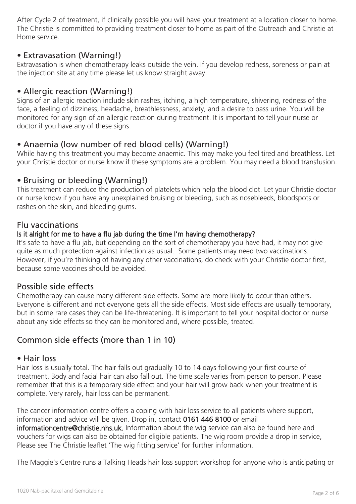After Cycle 2 of treatment, if clinically possible you will have your treatment at a location closer to home. The Christie is committed to providing treatment closer to home as part of the Outreach and Christie at Home service.

## • Extravasation (Warning!)

Extravasation is when chemotherapy leaks outside the vein. If you develop redness, soreness or pain at the injection site at any time please let us know straight away.

## • Allergic reaction (Warning!)

Signs of an allergic reaction include skin rashes, itching, a high temperature, shivering, redness of the face, a feeling of dizziness, headache, breathlessness, anxiety, and a desire to pass urine. You will be monitored for any sign of an allergic reaction during treatment. It is important to tell your nurse or doctor if you have any of these signs.

# • Anaemia (low number of red blood cells) (Warning!)

While having this treatment you may become anaemic. This may make you feel tired and breathless. Let your Christie doctor or nurse know if these symptoms are a problem. You may need a blood transfusion.

## • Bruising or bleeding (Warning!)

This treatment can reduce the production of platelets which help the blood clot. Let your Christie doctor or nurse know if you have any unexplained bruising or bleeding, such as nosebleeds, bloodspots or rashes on the skin, and bleeding gums.

#### Flu vaccinations

#### Is it alright for me to have a flu jab during the time I'm having chemotherapy?

It's safe to have a flu jab, but depending on the sort of chemotherapy you have had, it may not give quite as much protection against infection as usual. Some patients may need two vaccinations. However, if you're thinking of having any other vaccinations, do check with your Christie doctor first, because some vaccines should be avoided.

## Possible side effects

Chemotherapy can cause many different side effects. Some are more likely to occur than others. Everyone is different and not everyone gets all the side effects. Most side effects are usually temporary, but in some rare cases they can be life-threatening. It is important to tell your hospital doctor or nurse about any side effects so they can be monitored and, where possible, treated.

# Common side effects (more than 1 in 10)

#### • Hair loss

Hair loss is usually total. The hair falls out gradually 10 to 14 days following your first course of treatment. Body and facial hair can also fall out. The time scale varies from person to person. Please remember that this is a temporary side effect and your hair will grow back when your treatment is complete. Very rarely, hair loss can be permanent.

The cancer information centre offers a coping with hair loss service to all patients where support, information and advice will be given. Drop in, contact 0161 446 8100 or email informationcentre@christie.nhs.uk. Information about the wig service can also be found here and vouchers for wigs can also be obtained for eligible patients. The wig room provide a drop in service, Please see The Christie leaflet 'The wig fitting service' for further information.

The Maggie's Centre runs a Talking Heads hair loss support workshop for anyone who is anticipating or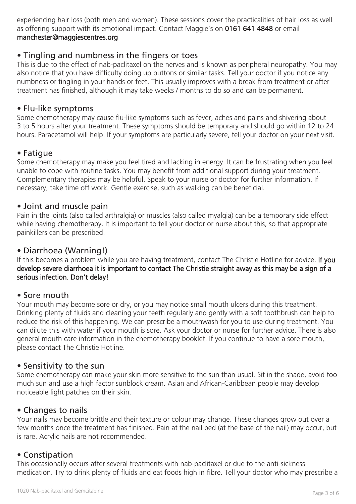experiencing hair loss (both men and women). These sessions cover the practicalities of hair loss as well as offering support with its emotional impact. Contact Maggie's on 0161 641 4848 or email manchester@maggiescentres.org.

## • Tingling and numbness in the fingers or toes

This is due to the effect of nab-paclitaxel on the nerves and is known as peripheral neuropathy. You may also notice that you have difficulty doing up buttons or similar tasks. Tell your doctor if you notice any numbness or tingling in your hands or feet. This usually improves with a break from treatment or after treatment has finished, although it may take weeks / months to do so and can be permanent.

#### • Flu-like symptoms

Some chemotherapy may cause flu-like symptoms such as fever, aches and pains and shivering about 3 to 5 hours after your treatment. These symptoms should be temporary and should go within 12 to 24 hours. Paracetamol will help. If your symptoms are particularly severe, tell your doctor on your next visit.

## • Fatigue

Some chemotherapy may make you feel tired and lacking in energy. It can be frustrating when you feel unable to cope with routine tasks. You may benefit from additional support during your treatment. Complementary therapies may be helpful. Speak to your nurse or doctor for further information. If necessary, take time off work. Gentle exercise, such as walking can be beneficial.

#### • Joint and muscle pain

Pain in the joints (also called arthralgia) or muscles (also called myalgia) can be a temporary side effect while having chemotherapy. It is important to tell your doctor or nurse about this, so that appropriate painkillers can be prescribed.

#### • Diarrhoea (Warning!)

If this becomes a problem while you are having treatment, contact The Christie Hotline for advice. If you develop severe diarrhoea it is important to contact The Christie straight away as this may be a sign of a serious infection. Don't delay!

#### • Sore mouth

Your mouth may become sore or dry, or you may notice small mouth ulcers during this treatment. Drinking plenty of fluids and cleaning your teeth regularly and gently with a soft toothbrush can help to reduce the risk of this happening. We can prescribe a mouthwash for you to use during treatment. You can dilute this with water if your mouth is sore. Ask your doctor or nurse for further advice. There is also general mouth care information in the chemotherapy booklet. If you continue to have a sore mouth, please contact The Christie Hotline.

#### • Sensitivity to the sun

Some chemotherapy can make your skin more sensitive to the sun than usual. Sit in the shade, avoid too much sun and use a high factor sunblock cream. Asian and African-Caribbean people may develop noticeable light patches on their skin.

## • Changes to nails

Your nails may become brittle and their texture or colour may change. These changes grow out over a few months once the treatment has finished. Pain at the nail bed (at the base of the nail) may occur, but is rare. Acrylic nails are not recommended.

## • Constipation

This occasionally occurs after several treatments with nab-paclitaxel or due to the anti-sickness medication. Try to drink plenty of fluids and eat foods high in fibre. Tell your doctor who may prescribe a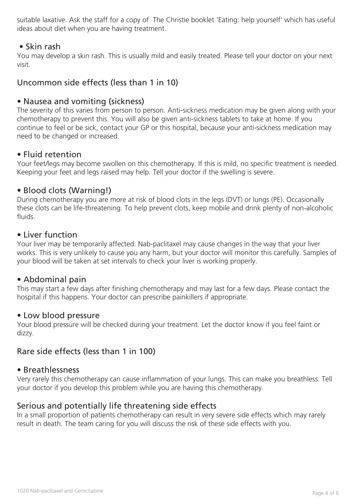suitable laxative. Ask the staff for a copy of The Christie booklet 'Eating: help yourself' which has useful ideas about diet when you are having treatment.

## • Skin rash

You may develop a skin rash. This is usually mild and easily treated. Please tell your doctor on your next visit.

# Uncommon side effects (less than 1 in 10)

#### • Nausea and vomiting (sickness)

The severity of this varies from person to person. Anti-sickness medication may be given along with your chemotherapy to prevent this. You will also be given anti-sickness tablets to take at home. If you continue to feel or be sick, contact your GP or this hospital, because your anti-sickness medication may need to be changed or increased.

#### • Fluid retention

Your feet/legs may become swollen on this chemotherapy. If this is mild, no specific treatment is needed. Keeping your feet and legs raised may help. Tell your doctor if the swelling is severe.

#### • Blood clots (Warning!)

During chemotherapy you are more at risk of blood clots in the legs (DVT) or lungs (PE). Occasionally these clots can be life-threatening. To help prevent clots, keep mobile and drink plenty of non-alcoholic fluids.

#### • Liver function

Your liver may be temporarily affected. Nab-paclitaxel may cause changes in the way that your liver works. This is very unlikely to cause you any harm, but your doctor will monitor this carefully. Samples of your blood will be taken at set intervals to check your liver is working properly.

#### • Abdominal pain

This may start a few days after finishing chemotherapy and may last for a few days. Please contact the hospital if this happens. Your doctor can prescribe painkillers if appropriate.

#### • Low blood pressure

Your blood pressure will be checked during your treatment. Let the doctor know if you feel faint or dizzy.

# Rare side effects (less than 1 in 100)

#### • Breathlessness

Very rarely this chemotherapy can cause inflammation of your lungs. This can make you breathless. Tell your doctor if you develop this problem while you are having this chemotherapy.

## Serious and potentially life threatening side effects

In a small proportion of patients chemotherapy can result in very severe side effects which may rarely result in death. The team caring for you will discuss the risk of these side effects with you.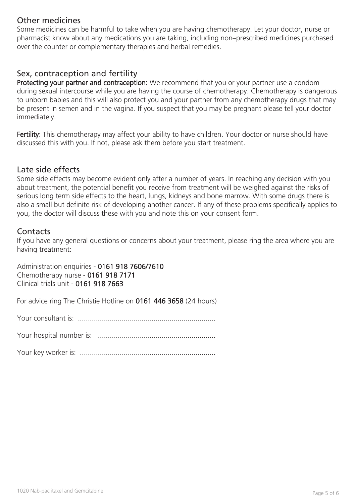# Other medicines

Some medicines can be harmful to take when you are having chemotherapy. Let your doctor, nurse or pharmacist know about any medications you are taking, including non–prescribed medicines purchased over the counter or complementary therapies and herbal remedies.

# Sex, contraception and fertility

Protecting your partner and contraception: We recommend that you or your partner use a condom during sexual intercourse while you are having the course of chemotherapy. Chemotherapy is dangerous to unborn babies and this will also protect you and your partner from any chemotherapy drugs that may be present in semen and in the vagina. If you suspect that you may be pregnant please tell your doctor immediately.

Fertility: This chemotherapy may affect your ability to have children. Your doctor or nurse should have discussed this with you. If not, please ask them before you start treatment.

#### Late side effects

Some side effects may become evident only after a number of years. In reaching any decision with you about treatment, the potential benefit you receive from treatment will be weighed against the risks of serious long term side effects to the heart, lungs, kidneys and bone marrow. With some drugs there is also a small but definite risk of developing another cancer. If any of these problems specifically applies to you, the doctor will discuss these with you and note this on your consent form.

## **Contacts**

If you have any general questions or concerns about your treatment, please ring the area where you are having treatment:

Administration enquiries - 0161 918 7606/7610 Chemotherapy nurse - 0161 918 7171 Clinical trials unit - 0161 918 7663

For advice ring The Christie Hotline on 0161 446 3658 (24 hours)

Your consultant is: .....................................................................

Your hospital number is: ...........................................................

Your key worker is: ....................................................................